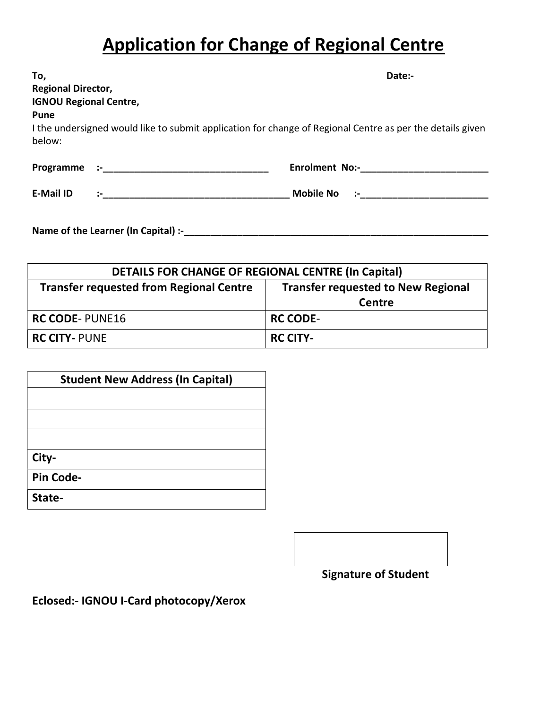## Application for Change of Regional Centre

| To,                           |                                                                                                                | Date:-                                                                                                    |
|-------------------------------|----------------------------------------------------------------------------------------------------------------|-----------------------------------------------------------------------------------------------------------|
| <b>Regional Director,</b>     |                                                                                                                |                                                                                                           |
| <b>IGNOU Regional Centre,</b> |                                                                                                                |                                                                                                           |
| <b>Pune</b>                   |                                                                                                                |                                                                                                           |
| below:                        |                                                                                                                | I the undersigned would like to submit application for change of Regional Centre as per the details given |
|                               | the control of the control of the control of the control of the control of the control of the control of the c | <b>Enrolment No:-</b>                                                                                     |
| <b>E-Mail ID</b>              | de la construcción                                                                                             | <b>Mobile No</b><br>$\mathcal{L} = \{1, \ldots, n\}$                                                      |
|                               |                                                                                                                |                                                                                                           |
| Programme                     |                                                                                                                |                                                                                                           |

DETAILS FOR CHANGE OF REGIONAL CENTRE (In Capital) Transfer requested from Regional Centre  $\parallel$  Transfer requested to New Regional **Centre** RC CODE- PUNE16 RC CODE-RC CITY- PUNE RC CITY-

| <b>Student New Address (In Capital)</b> |  |  |
|-----------------------------------------|--|--|
|                                         |  |  |
|                                         |  |  |
|                                         |  |  |
| City-                                   |  |  |
| <b>Pin Code-</b>                        |  |  |
| State-                                  |  |  |

Name of the Learner (In Capital) :-\_\_\_\_\_\_\_\_\_\_\_\_\_\_\_\_\_\_\_\_\_\_\_\_\_\_\_\_\_\_\_\_\_\_\_\_\_\_\_\_\_\_\_\_\_\_\_\_\_\_\_\_\_\_\_\_\_

Signature of Student

Eclosed:- IGNOU I-Card photocopy/Xerox